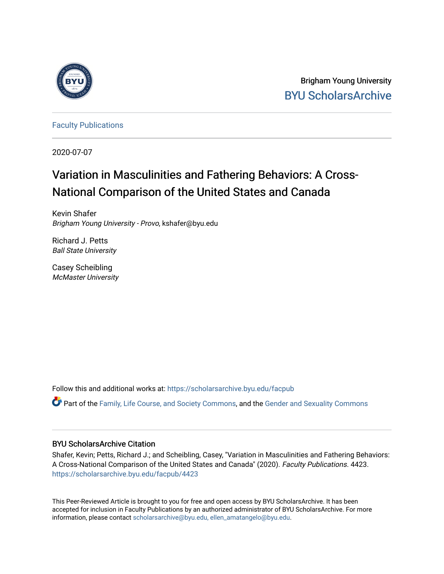

Brigham Young University [BYU ScholarsArchive](https://scholarsarchive.byu.edu/) 

[Faculty Publications](https://scholarsarchive.byu.edu/facpub)

2020-07-07

# Variation in Masculinities and Fathering Behaviors: A Cross-National Comparison of the United States and Canada

Kevin Shafer Brigham Young University - Provo, kshafer@byu.edu

Richard J. Petts Ball State University

Casey Scheibling McMaster University

Follow this and additional works at: [https://scholarsarchive.byu.edu/facpub](https://scholarsarchive.byu.edu/facpub?utm_source=scholarsarchive.byu.edu%2Ffacpub%2F4423&utm_medium=PDF&utm_campaign=PDFCoverPages) 

Part of the [Family, Life Course, and Society Commons,](http://network.bepress.com/hgg/discipline/419?utm_source=scholarsarchive.byu.edu%2Ffacpub%2F4423&utm_medium=PDF&utm_campaign=PDFCoverPages) and the [Gender and Sexuality Commons](http://network.bepress.com/hgg/discipline/420?utm_source=scholarsarchive.byu.edu%2Ffacpub%2F4423&utm_medium=PDF&utm_campaign=PDFCoverPages) 

# BYU ScholarsArchive Citation

Shafer, Kevin; Petts, Richard J.; and Scheibling, Casey, "Variation in Masculinities and Fathering Behaviors: A Cross-National Comparison of the United States and Canada" (2020). Faculty Publications. 4423. [https://scholarsarchive.byu.edu/facpub/4423](https://scholarsarchive.byu.edu/facpub/4423?utm_source=scholarsarchive.byu.edu%2Ffacpub%2F4423&utm_medium=PDF&utm_campaign=PDFCoverPages)

This Peer-Reviewed Article is brought to you for free and open access by BYU ScholarsArchive. It has been accepted for inclusion in Faculty Publications by an authorized administrator of BYU ScholarsArchive. For more information, please contact [scholarsarchive@byu.edu, ellen\\_amatangelo@byu.edu.](mailto:scholarsarchive@byu.edu,%20ellen_amatangelo@byu.edu)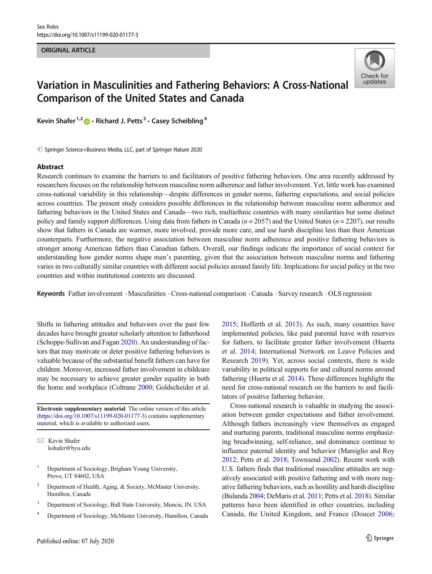ORIGINAL ARTICLE

# Check for undates

# Variation in Masculinities and Fathering Behaviors: A Cross-National Comparison of the United States and Canada

Kevin Shafer<sup>1,2</sup>  $\bullet$  · Richard J. Petts<sup>3</sup> · Casey Scheibling<sup>4</sup>

 $\oslash$  Springer Science+Business Media, LLC, part of Springer Nature 2020

#### Abstract

Research continues to examine the barriers to and facilitators of positive fathering behaviors. One area recently addressed by researchers focuses on the relationship between masculine norm adherence and father involvement. Yet, little work has examined cross-national variability in this relationship—despite differences in gender norms, fathering expectations, and social policies across countries. The present study considers possible differences in the relationship between masculine norm adherence and fathering behaviors in the United States and Canada—two rich, multiethnic countries with many similarities but some distinct policy and family support differences. Using data from fathers in Canada ( $n = 2057$ ) and the United States ( $n = 2207$ ), our results show that fathers in Canada are warmer, more involved, provide more care, and use harsh discipline less than their American counterparts. Furthermore, the negative association between masculine norm adherence and positive fathering behaviors is stronger among American fathers than Canadian fathers. Overall, our findings indicate the importance of social context for understanding how gender norms shape men's parenting, given that the association between masculine norms and fathering varies in two culturally similar countries with different social policies around family life. Implications for social policy in the two countries and within institutional contexts are discussed.

Keywords Father involvement . Masculinities . Cross-national comparison . Canada . Survey research . OLS regression

Shifts in fathering attitudes and behaviors over the past few decades have brought greater scholarly attention to fatherhood (Schoppe-Sullivan and Fagan [2020](#page-15-0)). An understanding of factors that may motivate or deter positive fathering behaviors is valuable because of the substantial benefit fathers can have for children. Moreover, increased father involvement in childcare may be necessary to achieve greater gender equality in both the home and workplace (Coltrane [2000;](#page-13-0) Goldscheider et al.

Electronic supplementary material The online version of this article ([https://doi.org/10.1007/s11199-020-01177-3\)](https://doi.org/10.1007/s11199-020-01177-3) contains supplementary material, which is available to authorized users.

 $\boxtimes$  Kevin Shafer [kshafer@byu.edu](mailto:kshafer@byu.edu)

- <sup>1</sup> Department of Sociology, Brigham Young University, Provo, UT 84602, USA
- <sup>2</sup> Department of Health, Aging, & Society, McMaster University, Hamilton, Canada
- <sup>3</sup> Department of Sociology, Ball State University, Muncie, IN, USA
- <sup>4</sup> Department of Sociology, McMaster University, Hamilton, Canada

[2015;](#page-14-0) Hofferth et al. [2013\)](#page-14-0). As such, many countries have implemented policies, like paid parental leave with reserves for fathers, to facilitate greater father involvement (Huerta et al. [2014](#page-14-0); International Network on Leave Policies and Research [2019](#page-14-0)). Yet, across social contexts, there is wide variability in political supports for and cultural norms around fathering (Huerta et al. [2014](#page-14-0)). These differences highlight the need for cross-national research on the barriers to and facilitators of positive fathering behavior.

Cross-national research is valuable in studying the association between gender expectations and father involvement. Although fathers increasingly view themselves as engaged and nurturing parents, traditional masculine norms emphasizing breadwinning, self-reliance, and dominance continue to influence paternal identity and behavior (Marsiglio and Roy [2012;](#page-14-0) Petts et al. [2018;](#page-14-0) Townsend [2002\)](#page-15-0). Recent work with U.S. fathers finds that traditional masculine attitudes are negatively associated with positive fathering and with more negative fathering behaviors, such as hostility and harsh discipline (Bulanda [2004](#page-13-0); DeMaris et al. [2011](#page-13-0); Petts et al. [2018](#page-14-0)). Similar patterns have been identified in other countries, including Canada, the United Kingdom, and France (Doucet [2006;](#page-13-0)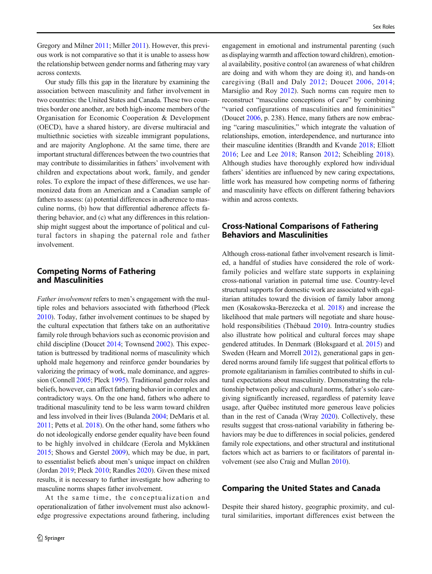Gregory and Milner [2011](#page-14-0); Miller [2011](#page-14-0)). However, this previous work is not comparative so that it is unable to assess how the relationship between gender norms and fathering may vary across contexts.

Our study fills this gap in the literature by examining the association between masculinity and father involvement in two countries: the United States and Canada. These two countries border one another, are both high-income members of the Organisation for Economic Cooperation & Development (OECD), have a shared history, are diverse multiracial and multiethnic societies with sizeable immigrant populations, and are majority Anglophone. At the same time, there are important structural differences between the two countries that may contribute to dissimilarities in fathers' involvement with children and expectations about work, family, and gender roles. To explore the impact of these differences, we use harmonized data from an American and a Canadian sample of fathers to assess: (a) potential differences in adherence to masculine norms, (b) how that differential adherence affects fathering behavior, and (c) what any differences in this relationship might suggest about the importance of political and cultural factors in shaping the paternal role and father involvement.

# Competing Norms of Fathering and Masculinities

Father involvement refers to men's engagement with the multiple roles and behaviors associated with fatherhood (Pleck [2010\)](#page-14-0). Today, father involvement continues to be shaped by the cultural expectation that fathers take on an authoritative family role through behaviors such as economic provision and child discipline (Doucet [2014;](#page-13-0) Townsend [2002](#page-15-0)). This expectation is buttressed by traditional norms of masculinity which uphold male hegemony and reinforce gender boundaries by valorizing the primacy of work, male dominance, and aggression (Connell [2005;](#page-13-0) Pleck [1995\)](#page-14-0). Traditional gender roles and beliefs, however, can affect fathering behavior in complex and contradictory ways. On the one hand, fathers who adhere to traditional masculinity tend to be less warm toward children and less involved in their lives (Bulanda [2004;](#page-13-0) DeMaris et al. [2011;](#page-13-0) Petts et al. [2018\)](#page-14-0). On the other hand, some fathers who do not ideologically endorse gender equality have been found to be highly involved in childcare (Eerola and Mykkänen [2015;](#page-13-0) Shows and Gerstel [2009](#page-15-0)), which may be due, in part, to essentialist beliefs about men's unique impact on children (Jordan [2019;](#page-14-0) Pleck [2010](#page-14-0); Randles [2020\)](#page-15-0). Given these mixed results, it is necessary to further investigate how adhering to masculine norms shapes father involvement.

At the same time, the conceptualization and operationalization of father involvement must also acknowledge progressive expectations around fathering, including engagement in emotional and instrumental parenting (such as displaying warmth and affection toward children), emotional availability, positive control (an awareness of what children are doing and with whom they are doing it), and hands-on caregiving (Ball and Daly [2012;](#page-13-0) Doucet [2006,](#page-13-0) [2014;](#page-13-0) Marsiglio and Roy [2012\)](#page-14-0). Such norms can require men to reconstruct "masculine conceptions of care" by combining "varied configurations of masculinities and femininities" (Doucet [2006](#page-13-0), p. 238). Hence, many fathers are now embracing "caring masculinities," which integrate the valuation of relationships, emotion, interdependence, and nurturance into their masculine identities (Brandth and Kvande [2018;](#page-13-0) Elliott [2016;](#page-14-0) Lee and Lee [2018;](#page-14-0) Ranson [2012;](#page-15-0) Scheibling [2018\)](#page-15-0). Although studies have thoroughly explored how individual fathers' identities are influenced by new caring expectations, little work has measured how competing norms of fathering and masculinity have effects on different fathering behaviors within and across contexts.

## Cross-National Comparisons of Fathering Behaviors and Masculinities

Although cross-national father involvement research is limited, a handful of studies have considered the role of workfamily policies and welfare state supports in explaining cross-national variation in paternal time use. Country-level structural supports for domestic work are associated with egalitarian attitudes toward the division of family labor among men (Kosakowska-Berezecka et al. [2018\)](#page-14-0) and increase the likelihood that male partners will negotiate and share household responsibilities (Thébaud [2010](#page-15-0)). Intra-country studies also illustrate how political and cultural forces may shape gendered attitudes. In Denmark (Bloksgaard et al. [2015](#page-13-0)) and Sweden (Hearn and Morrell [2012\)](#page-14-0), generational gaps in gendered norms around family life suggest that political efforts to promote egalitarianism in families contributed to shifts in cultural expectations about masculinity. Demonstrating the relationship between policy and cultural norms, father's solo caregiving significantly increased, regardless of paternity leave usage, after Québec instituted more generous leave policies than in the rest of Canada (Wray [2020](#page-15-0)). Collectively, these results suggest that cross-national variability in fathering behaviors may be due to differences in social policies, gendered family role expectations, and other structural and institutional factors which act as barriers to or facilitators of parental involvement (see also Craig and Mullan [2010](#page-13-0)).

## Comparing the United States and Canada

Despite their shared history, geographic proximity, and cultural similarities, important differences exist between the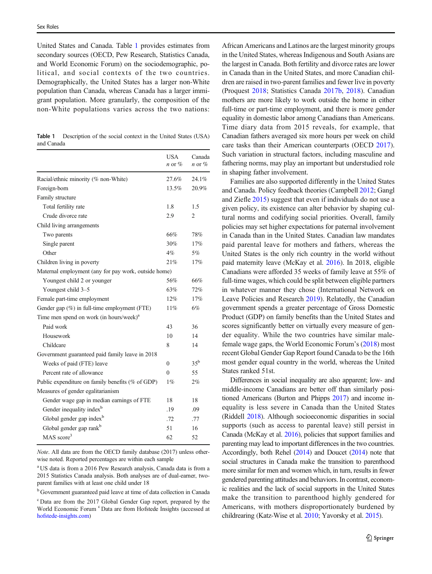United States and Canada. Table 1 provides estimates from secondary sources (OECD, Pew Research, Statistics Canada, and World Economic Forum) on the sociodemographic, political, and social contexts of the two countries. Demographically, the United States has a larger non-White population than Canada, whereas Canada has a larger immigrant population. More granularly, the composition of the non-White populations varies across the two nations:

Table 1 Description of the social context in the United States (USA) and Canada

|                                                      | <b>USA</b><br><i>n</i> or $\%$ | Canada<br><i>n</i> or $%$ |
|------------------------------------------------------|--------------------------------|---------------------------|
| Racial/ethnic minority (% non-White)                 | 27.6%                          | 24.1%                     |
| Foreign-born                                         | 13.5%                          | 20.9%                     |
| Family structure                                     |                                |                           |
| Total fertility rate                                 | 1.8                            | 1.5                       |
| Crude divorce rate                                   | 2.9                            | 2                         |
| Child living arrangements                            |                                |                           |
| Two parents                                          | 66%                            | 78%                       |
| Single parent                                        | 30%                            | 17%                       |
| Other                                                | $4\%$                          | 5%                        |
| Children living in poverty                           | 21%                            | 17%                       |
| Maternal employment (any for pay work, outside home) |                                |                           |
| Youngest child 2 or younger                          | 56%                            | 66%                       |
| Youngest child 3-5                                   | 63%                            | 72%                       |
| Female part-time employment                          | 12%                            | 17%                       |
| Gender gap $(\%)$ in full-time employment (FTE)      | 11%                            | 6%                        |
| Time men spend on work (in hours/week) <sup>a</sup>  |                                |                           |
| Paid work                                            | 43                             | 36                        |
| Housework                                            | 10                             | 14                        |
| Childcare                                            | 8                              | 14                        |
| Government guaranteed paid family leave in 2018      |                                |                           |
| Weeks of paid (FTE) leave                            | 0                              | $35^{\rm b}$              |
| Percent rate of allowance                            | 0                              | 55                        |
| Public expenditure on family benefits (% of GDP)     | $1\%$                          | 2%                        |
| Measures of gender egalitarianism                    |                                |                           |
| Gender wage gap in median earnings of FTE            | 18                             | 18                        |
| Gender inequality index <sup>b</sup>                 | .19                            | .09                       |
| Global gender gap index <sup>b</sup>                 | .72                            | .77                       |
| Global gender gap rank <sup>b</sup>                  | 51                             | 16                        |
| MAS score <sup>3</sup>                               | 62                             | 52                        |
|                                                      |                                |                           |

Note. All data are from the OECD family database (2017) unless otherwise noted. Reported percentages are within each sample

<sup>a</sup> US data is from a 2016 Pew Research analysis, Canada data is from a 2015 Statistics Canada analysis. Both analyses are of dual-earner, twoparent families with at least one child under 18

<sup>b</sup> Government guaranteed paid leave at time of data collection in Canada

<sup>c</sup> Data are from the 2017 Global Gender Gap report, prepared by the World Economic Forum <sup>c</sup> Data are from Hofstede Insights (accessed at [hofstede-insights.com\)](http://hofstedensights.com)

African Americans and Latinos are the largest minority groups in the United States, whereas Indigenous and South Asians are the largest in Canada. Both fertility and divorce rates are lower in Canada than in the United States, and more Canadian children are raised in two-parent families and fewer live in poverty (Proquest [2018;](#page-15-0) Statistics Canada [2017b](#page-15-0), [2018](#page-15-0)). Canadian mothers are more likely to work outside the home in either full-time or part-time employment, and there is more gender equality in domestic labor among Canadians than Americans. Time diary data from 2015 reveals, for example, that Canadian fathers averaged six more hours per week on child care tasks than their American counterparts (OECD [2017\)](#page-14-0). Such variation in structural factors, including masculine and fathering norms, may play an important but understudied role in shaping father involvement.

Families are also supported differently in the United States and Canada. Policy feedback theories (Campbell [2012;](#page-13-0) Gangl and Ziefle [2015\)](#page-14-0) suggest that even if individuals do not use a given policy, its existence can alter behavior by shaping cultural norms and codifying social priorities. Overall, family policies may set higher expectations for paternal involvement in Canada than in the United States. Canadian law mandates paid parental leave for mothers and fathers, whereas the United States is the only rich country in the world without paid maternity leave (McKay et al. [2016](#page-14-0)). In 2018, eligible Canadians were afforded 35 weeks of family leave at 55% of full-time wages, which could be split between eligible partners in whatever manner they chose (International Network on Leave Policies and Research [2019\)](#page-14-0). Relatedly, the Canadian government spends a greater percentage of Gross Domestic Product (GDP) on family benefits than the United States and scores significantly better on virtually every measure of gender equality. While the two countries have similar malefemale wage gaps, the World Economic Forum's [\(2018\)](#page-15-0) most recent Global Gender Gap Report found Canada to be the 16th most gender equal country in the world, whereas the United States ranked 51st.

Differences in social inequality are also apparent; low- and middle-income Canadians are better off than similarly positioned Americans (Burton and Phipps [2017\)](#page-13-0) and income inequality is less severe in Canada than the United States (Riddell [2018\)](#page-15-0). Although socioeconomic disparities in social supports (such as access to parental leave) still persist in Canada (McKay et al. [2016](#page-14-0)), policies that support families and parenting may lead to important differences in the two countries. Accordingly, both Rehel [\(2014\)](#page-15-0) and Doucet ([2014\)](#page-13-0) note that social structures in Canada make the transition to parenthood more similar for men and women which, in turn, results in fewer gendered parenting attitudes and behaviors. In contrast, economic realities and the lack of social supports in the United States make the transition to parenthood highly gendered for Americans, with mothers disproportionately burdened by childrearing (Katz-Wise et al. [2010;](#page-14-0) Yavorsky et al. [2015\)](#page-15-0).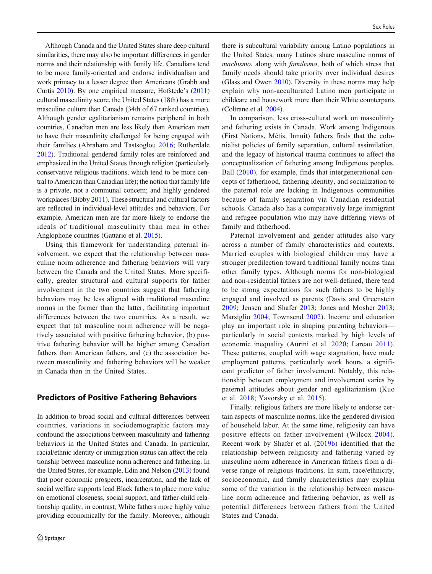Although Canada and the United States share deep cultural similarities, there may also be important differences in gender norms and their relationship with family life. Canadians tend to be more family-oriented and endorse individualism and work primacy to a lesser degree than Americans (Grabb and Curtis [2010\)](#page-14-0). By one empirical measure, Hofstede's [\(2011\)](#page-14-0) cultural masculinity score, the United States (18th) has a more masculine culture than Canada (34th of 67 ranked countries). Although gender egalitarianism remains peripheral in both countries, Canadian men are less likely than American men to have their masculinity challenged for being engaged with their families (Abraham and Tastsoglou [2016;](#page-13-0) Rutherdale [2012\)](#page-15-0). Traditional gendered family roles are reinforced and emphasized in the United States through religion (particularly conservative religious traditions, which tend to be more central to American than Canadian life); the notion that family life is a private, not a communal concern; and highly gendered workplaces (Bibby [2011](#page-13-0)). These structural and cultural factors are reflected in individual-level attitudes and behaviors. For example, American men are far more likely to endorse the ideals of traditional masculinity than men in other Anglophone countries (Gattario et al. [2015](#page-14-0)).

Using this framework for understanding paternal involvement, we expect that the relationship between masculine norm adherence and fathering behaviors will vary between the Canada and the United States. More specifically, greater structural and cultural supports for father involvement in the two countries suggest that fathering behaviors may be less aligned with traditional masculine norms in the former than the latter, facilitating important differences between the two countries. As a result, we expect that (a) masculine norm adherence will be negatively associated with positive fathering behavior, (b) positive fathering behavior will be higher among Canadian fathers than American fathers, and (c) the association between masculinity and fathering behaviors will be weaker in Canada than in the United States.

#### Predictors of Positive Fathering Behaviors

In addition to broad social and cultural differences between countries, variations in sociodemographic factors may confound the associations between masculinity and fathering behaviors in the United States and Canada. In particular, racial/ethnic identity or immigration status can affect the relationship between masculine norm adherence and fathering. In the United States, for example, Edin and Nelson [\(2013](#page-13-0)) found that poor economic prospects, incarceration, and the lack of social welfare supports lead Black fathers to place more value on emotional closeness, social support, and father-child relationship quality; in contrast, White fathers more highly value providing economically for the family. Moreover, although

there is subcultural variability among Latino populations in the United States, many Latinos share masculine norms of machismo, along with familismo, both of which stress that family needs should take priority over individual desires (Glass and Owen [2010\)](#page-14-0). Diversity in these norms may help explain why non-acculturated Latino men participate in childcare and housework more than their White counterparts (Coltrane et al. [2004](#page-13-0)).

In comparison, less cross-cultural work on masculinity and fathering exists in Canada. Work among Indigenous (First Nations, Métis, Innuit) fathers finds that the colonialist policies of family separation, cultural assimilation, and the legacy of historical trauma continues to affect the conceptualization of fathering among Indigenous peoples. Ball [\(2010\)](#page-13-0), for example, finds that intergenerational concepts of fatherhood, fathering identity, and socialization to the paternal role are lacking in Indigenous communities because of family separation via Canadian residential schools. Canada also has a comparatively large immigrant and refugee population who may have differing views of family and fatherhood.

Paternal involvement and gender attitudes also vary across a number of family characteristics and contexts. Married couples with biological children may have a stronger predilection toward traditional family norms than other family types. Although norms for non-biological and non-residential fathers are not well-defined, there tend to be strong expectations for such fathers to be highly engaged and involved as parents (Davis and Greenstein [2009](#page-13-0); Jensen and Shafer [2013;](#page-14-0) Jones and Mosher [2013;](#page-14-0) Marsiglio [2004;](#page-14-0) Townsend [2002\)](#page-15-0). Income and education play an important role in shaping parenting behaviors particularly in social contexts marked by high levels of economic inequality (Aurini et al. [2020;](#page-13-0) Lareau [2011](#page-14-0)). These patterns, coupled with wage stagnation, have made employment patterns, particularly work hours, a significant predictor of father involvement. Notably, this relationship between employment and involvement varies by paternal attitudes about gender and egalitarianism (Kuo et al. [2018;](#page-14-0) Yavorsky et al. [2015](#page-15-0)).

Finally, religious fathers are more likely to endorse certain aspects of masculine norms, like the gendered division of household labor. At the same time, religiosity can have positive effects on father involvement (Wilcox [2004](#page-15-0)). Recent work by Shafer et al. ([2019b](#page-15-0)) identified that the relationship between religiosity and fathering varied by masculine norm adherence in American fathers from a diverse range of religious traditions. In sum, race/ethnicity, socioeconomic, and family characteristics may explain some of the variation in the relationship between masculine norm adherence and fathering behavior, as well as potential differences between fathers from the United States and Canada.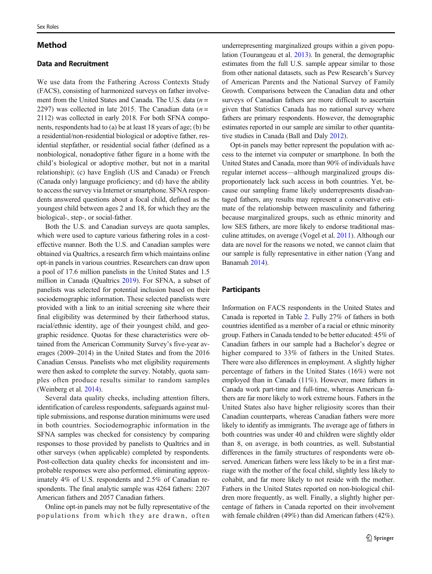#### Method

#### Data and Recruitment

We use data from the Fathering Across Contexts Study (FACS), consisting of harmonized surveys on father involvement from the United States and Canada. The U.S. data  $(n =$ 2297) was collected in late 2015. The Canadian data  $(n =$ 2112) was collected in early 2018. For both SFNA components, respondents had to (a) be at least 18 years of age; (b) be a residential/non-residential biological or adoptive father, residential stepfather, or residential social father (defined as a nonbiological, nonadoptive father figure in a home with the child's biological or adoptive mother, but not in a marital relationship); (c) have English (US and Canada) or French (Canada only) language proficiency; and (d) have the ability to access the survey via Internet or smartphone. SFNA respondents answered questions about a focal child, defined as the youngest child between ages 2 and 18, for which they are the biological-, step-, or social-father.

Both the U.S. and Canadian surveys are quota samples, which were used to capture various fathering roles in a costeffective manner. Both the U.S. and Canadian samples were obtained via Qualtrics, a research firm which maintains online opt-in panels in various countries. Researchers can draw upon a pool of 17.6 million panelists in the United States and 1.5 million in Canada (Qualtrics [2019\)](#page-15-0). For SFNA, a subset of panelists was selected for potential inclusion based on their sociodemographic information. These selected panelists were provided with a link to an initial screening site where their final eligibility was determined by their fatherhood status, racial/ethnic identity, age of their youngest child, and geographic residence. Quotas for these characteristics were obtained from the American Community Survey's five-year averages (2009–2014) in the United States and from the 2016 Canadian Census. Panelists who met eligibility requirements were then asked to complete the survey. Notably, quota samples often produce results similar to random samples (Weinberg et al. [2014](#page-15-0)).

Several data quality checks, including attention filters, identification of careless respondents, safeguards against multiple submissions, and response duration minimums were used in both countries. Sociodemographic information in the SFNA samples was checked for consistency by comparing responses to those provided by panelists to Qualtrics and in other surveys (when applicable) completed by respondents. Post-collection data quality checks for inconsistent and improbable responses were also performed, eliminating approximately 4% of U.S. respondents and 2.5% of Canadian respondents. The final analytic sample was 4264 fathers: 2207 American fathers and 2057 Canadian fathers.

Online opt-in panels may not be fully representative of the populations from which they are drawn, often

underrepresenting marginalized groups within a given population (Tourangeau et al. [2013](#page-15-0)). In general, the demographic estimates from the full U.S. sample appear similar to those from other national datasets, such as Pew Research's Survey of American Parents and the National Survey of Family Growth. Comparisons between the Canadian data and other surveys of Canadian fathers are more difficult to ascertain given that Statistics Canada has no national survey where fathers are primary respondents. However, the demographic estimates reported in our sample are similar to other quantitative studies in Canada (Ball and Daly [2012](#page-13-0)).

Opt-in panels may better represent the population with access to the internet via computer or smartphone. In both the United States and Canada, more than 90% of individuals have regular internet access—although marginalized groups disproportionately lack such access in both countries. Yet, because our sampling frame likely underrepresents disadvantaged fathers, any results may represent a conservative estimate of the relationship between masculinity and fathering because marginalized groups, such as ethnic minority and low SES fathers, are more likely to endorse traditional masculine attitudes, on average (Vogel et al. [2011](#page-15-0)). Although our data are novel for the reasons we noted, we cannot claim that our sample is fully representative in either nation (Yang and Banamah [2014](#page-15-0)).

#### **Participants**

Information on FACS respondents in the United States and Canada is reported in Table [2.](#page-6-0) Fully 27% of fathers in both countries identified as a member of a racial or ethnic minority group. Fathers in Canada tended to be better educated: 45% of Canadian fathers in our sample had a Bachelor's degree or higher compared to 33% of fathers in the United States. There were also differences in employment. A slightly higher percentage of fathers in the United States (16%) were not employed than in Canada (11%). However, more fathers in Canada work part-time and full-time, whereas American fathers are far more likely to work extreme hours. Fathers in the United States also have higher religiosity scores than their Canadian counterparts, whereas Canadian fathers were more likely to identify as immigrants. The average age of fathers in both countries was under 40 and children were slightly older than 8, on average, in both countries, as well. Substantial differences in the family structures of respondents were observed. American fathers were less likely to be in a first marriage with the mother of the focal child, slightly less likely to cohabit, and far more likely to not reside with the mother. Fathers in the United States reported on non-biological children more frequently, as well. Finally, a slightly higher percentage of fathers in Canada reported on their involvement with female children (49%) than did American fathers (42%).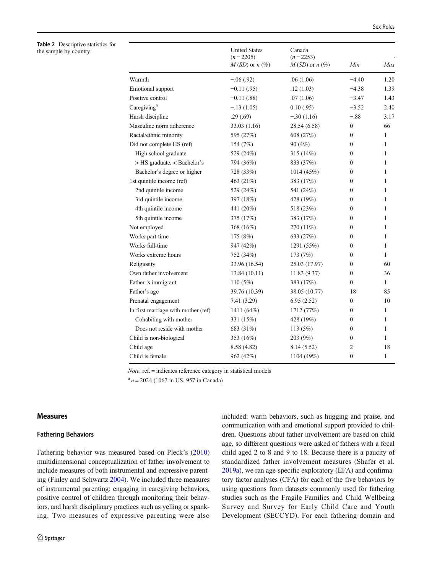|                                     | <b>United States</b><br>$(n=2205)$<br>$M(SD)$ or $n(\%)$ | Canada<br>$(n = 2253)$<br>$M(SD)$ or $n(\%)$ | Min              | Max          |
|-------------------------------------|----------------------------------------------------------|----------------------------------------------|------------------|--------------|
| Warmth                              | $-.06(.92)$<br>.06(1.06)                                 |                                              | $-4.40$          | 1.20         |
| Emotional support                   | $-0.11(0.95)$                                            | .12(1.03)                                    | $-4.38$          | 1.39         |
| Positive control                    | $-0.11(0.88)$                                            | .07(1.06)                                    | $-3.47$          | 1.43         |
| Caregiving <sup>a</sup>             | $-.13(1.05)$                                             | 0.10(0.95)                                   | $-3.52$          | 2.40         |
| Harsh discipline                    | .29(.69)                                                 | $-.30(1.16)$                                 | $-.88$           | 3.17         |
| Masculine norm adherence            | 33.03 (1.16)                                             | 28.54 (6.58)                                 | $\mathbf{0}$     | 66           |
| Racial/ethnic minority              | 595 (27%)                                                | 608 (27%)                                    | $\mathbf{0}$     | 1            |
| Did not complete HS (ref)           | 154 (7%)                                                 | 90(4%)                                       | $\mathbf{0}$     | $\mathbf{1}$ |
| High school graduate                | 529 (24%)                                                | 315(14%)                                     | $\mathbf{0}$     | $\mathbf{1}$ |
| > HS graduate, < Bachelor's         | 794 (36%)                                                | 833 (37%)                                    | $\mathbf{0}$     | $\mathbf{1}$ |
| Bachelor's degree or higher         | 728 (33%)                                                | 1014(45%)                                    | $\mathbf{0}$     | $\mathbf{1}$ |
| 1st quintile income (ref)           | 463 (21%)                                                | 383 (17%)                                    | $\mathbf{0}$     | $\mathbf{1}$ |
| 2nd quintile income                 | 529 (24%)                                                | 541 (24%)                                    | $\mathbf{0}$     | $\mathbf{1}$ |
| 3rd quintile income                 | 397 (18%)                                                | 428 (19%)                                    | $\mathbf{0}$     | $\mathbf{1}$ |
| 4th quintile income                 | 441 (20%)                                                | 518 (23%)                                    | $\mathbf{0}$     | $\mathbf{1}$ |
| 5th quintile income                 | 375 (17%)                                                | 383 (17%)                                    | $\mathbf{0}$     | 1            |
| Not employed                        | 368 (16%)                                                | 270 (11%)                                    | $\mathbf{0}$     | $\mathbf{1}$ |
| Works part-time                     | 175 (8%)                                                 | 633 (27%)                                    | $\mathbf{0}$     | $\mathbf{1}$ |
| Works full-time                     | 947 (42%)                                                | 1291 (55%)                                   | $\mathbf{0}$     | $\mathbf{1}$ |
| Works extreme hours                 | 752 (34%)                                                | 173 (7%)                                     | $\mathbf{0}$     | $\mathbf{1}$ |
| Religiosity                         | 33.96 (16.54)                                            | 25.03 (17.97)                                | $\mathbf{0}$     | 60           |
| Own father involvement              | 13.84 (10.11)                                            | 11.83 (9.37)                                 | $\mathbf{0}$     | 36           |
| Father is immigrant                 | 110(5%)                                                  | 383 (17%)                                    | $\mathbf{0}$     | $\mathbf{1}$ |
| Father's age                        | 39.76 (10.39)                                            | 38.05 (10.77)                                | 18               | 85           |
| Prenatal engagement                 | 7.41 (3.29)                                              | 6.95(2.52)                                   | $\boldsymbol{0}$ | 10           |
| In first marriage with mother (ref) | 1411 $(64%)$                                             | 1712 (77%)                                   | $\mathbf{0}$     | 1            |
| Cohabiting with mother              | 331 (15%)                                                | 428 (19%)                                    | $\mathbf{0}$     | $\mathbf{1}$ |
| Does not reside with mother         | 683 (31%)                                                | 113 $(5%)$                                   | $\mathbf{0}$     | 1            |
| Child is non-biological             | 353 (16%)                                                | 203 (9%)                                     | $\mathbf{0}$     | $\mathbf{1}$ |
| Child age                           | 8.58 (4.82)                                              | 8.14 (5.52)                                  | $\overline{2}$   | 18           |
| Child is female                     | 962 (42%)                                                | 1104 (49%)                                   | $\mathbf{0}$     | 1            |

Note. ref. = indicates reference category in statistical models

 $a_n = 2024$  (1067 in US, 957 in Canada)

#### Measures

#### Fathering Behaviors

<span id="page-6-0"></span>Table 2 Descriptive statistics for

the sample by country

Fathering behavior was measured based on Pleck's [\(2010\)](#page-14-0) multidimensional conceptualization of father involvement to include measures of both instrumental and expressive parenting (Finley and Schwartz [2004](#page-14-0)). We included three measures of instrumental parenting: engaging in caregiving behaviors, positive control of children through monitoring their behaviors, and harsh disciplinary practices such as yelling or spanking. Two measures of expressive parenting were also included: warm behaviors, such as hugging and praise, and communication with and emotional support provided to children. Questions about father involvement are based on child age, so different questions were asked of fathers with a focal child aged 2 to 8 and 9 to 18. Because there is a paucity of standardized father involvement measures (Shafer et al. [2019a\)](#page-15-0), we ran age-specific exploratory (EFA) and confirmatory factor analyses (CFA) for each of the five behaviors by using questions from datasets commonly used for fathering studies such as the Fragile Families and Child Wellbeing Survey and Survey for Early Child Care and Youth Development (SECCYD). For each fathering domain and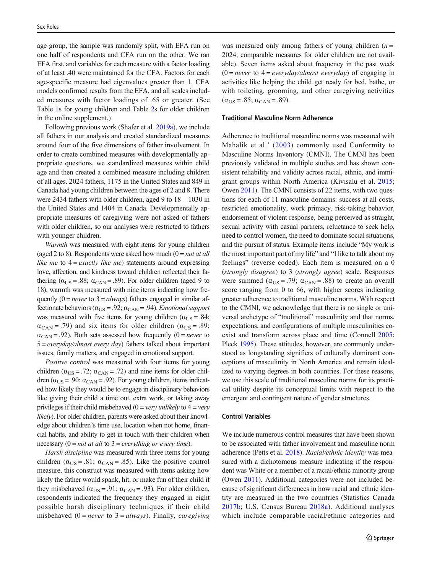age group, the sample was randomly split, with EFA run on one half of respondents and CFA run on the other. We ran EFA first, and variables for each measure with a factor loading of at least .40 were maintained for the CFA. Factors for each age-specific measure had eigenvalues greater than 1. CFA models confirmed results from the EFA, and all scales included measures with factor loadings of .65 or greater. (See Table 1s for young children and Table 2s for older children in the online supplement.)

Following previous work (Shafer et al. [2019a\)](#page-15-0), we include all fathers in our analysis and created standardized measures around four of the five dimensions of father involvement. In order to create combined measures with developmentally appropriate questions, we standardized measures within child age and then created a combined measure including children of all ages. 2024 fathers, 1175 in the United States and 849 in Canada had young children between the ages of 2 and 8. There were 2434 fathers with older children, aged 9 to 18—1030 in the United States and 1404 in Canada. Developmentally appropriate measures of caregiving were not asked of fathers with older children, so our analyses were restricted to fathers with younger children.

Warmth was measured with eight items for young children (aged 2 to 8). Respondents were asked how much  $(0 = not at all)$ like me to  $4 = \text{exactly}$  like me) statements around expressing love, affection, and kindness toward children reflected their fathering ( $\alpha_{\text{US}}$  = .88;  $\alpha_{\text{CAN}}$  = .89). For older children (aged 9 to 18), warmth was measured with nine items indicating how frequently  $(0 = never to 3 = always)$  fathers engaged in similar affectionate behaviors ( $\alpha_{\text{US}}$  = .92;  $\alpha_{\text{CAN}}$  = .94). *Emotional support* was measured with five items for young children ( $\alpha_{\text{US}} = .84$ ;  $\alpha_{\text{CAN}}$  = .79) and six items for older children ( $\alpha_{\text{US}}$  = .89;  $\alpha_{\text{CAN}}$  = .92). Both sets assessed how frequently (0 = *never* to  $5 = \text{everyday/almost every day}$  fathers talked about important issues, family matters, and engaged in emotional support.

Positive control was measured with four items for young children ( $\alpha_{\text{US}}$  = .72;  $\alpha_{\text{CAN}}$  = .72) and nine items for older children ( $\alpha_{\text{US}}$  = .90;  $\alpha_{\text{CAN}}$  = .92). For young children, items indicated how likely they would be to engage in disciplinary behaviors like giving their child a time out, extra work, or taking away privileges if their child misbehaved ( $0 = \text{very}$  unlikely to  $4 = \text{very}$ ) likely). For older children, parents were asked about their knowledge about children's time use, location when not home, financial habits, and ability to get in touch with their children when necessary  $(0 = not at all to 3 = everything or every time)$ .

Harsh discipline was measured with three items for young children ( $\alpha_{\text{US}}$  = .81;  $\alpha_{\text{CAN}}$  = .85). Like the positive control measure, this construct was measured with items asking how likely the father would spank, hit, or make fun of their child if they misbehaved ( $\alpha_{\text{US}}$  = .91;  $\alpha_{\text{CAN}}$  = .93). For older children, respondents indicated the frequency they engaged in eight possible harsh disciplinary techniques if their child misbehaved  $(0 = never to 3 = always)$ . Finally, *caregiving*  was measured only among fathers of young children  $(n =$ 2024; comparable measures for older children are not available). Seven items asked about frequency in the past week  $(0 = never to 4 = everyday/almost everyday)$  of engaging in activities like helping the child get ready for bed, bathe, or with toileting, grooming, and other caregiving activities  $(\alpha_{\text{LIS}} = .85; \alpha_{\text{CAN}} = .89).$ 

#### Traditional Masculine Norm Adherence

Adherence to traditional masculine norms was measured with Mahalik et al.' ([2003](#page-14-0)) commonly used Conformity to Masculine Norms Inventory (CMNI). The CMNI has been previously validated in multiple studies and has shown consistent reliability and validity across racial, ethnic, and immigrant groups within North America (Kivisalu et al. [2015;](#page-14-0) Owen [2011](#page-14-0)). The CMNI consists of 22 items, with two questions for each of 11 masculine domains: success at all costs, restricted emotionality, work primacy, risk-taking behavior, endorsement of violent response, being perceived as straight, sexual activity with casual partners, reluctance to seek help, need to control women, the need to dominate social situations, and the pursuit of status. Example items include "My work is the most important part of my life" and "I like to talk about my feelings" (reverse coded). Each item is measured on a 0 (strongly disagree) to 3 (strongly agree) scale. Responses were summed  $(\alpha_{\text{US}} = .79; \ \alpha_{\text{CAN}} = .88)$  to create an overall score ranging from 0 to 66, with higher scores indicating greater adherence to traditional masculine norms. With respect to the CMNI, we acknowledge that there is no single or universal archetype of "traditional" masculinity and that norms, expectations, and configurations of multiple masculinities coexist and transform across place and time (Connell [2005;](#page-13-0) Pleck [1995\)](#page-14-0). These attitudes, however, are commonly understood as longstanding signifiers of culturally dominant conceptions of masculinity in North America and remain idealized to varying degrees in both countries. For these reasons, we use this scale of traditional masculine norms for its practical utility despite its conceptual limits with respect to the emergent and contingent nature of gender structures.

#### Control Variables

We include numerous control measures that have been shown to be associated with father involvement and masculine norm adherence (Petts et al. [2018](#page-14-0)). Racial/ethnic identity was measured with a dichotomous measure indicating if the respondent was White or a member of a racial/ethnic minority group (Owen [2011](#page-14-0)). Additional categories were not included because of significant differences in how racial and ethnic identity are measured in the two countries (Statistics Canada [2017b;](#page-15-0) U.S. Census Bureau [2018a](#page-15-0)). Additional analyses which include comparable racial/ethnic categories and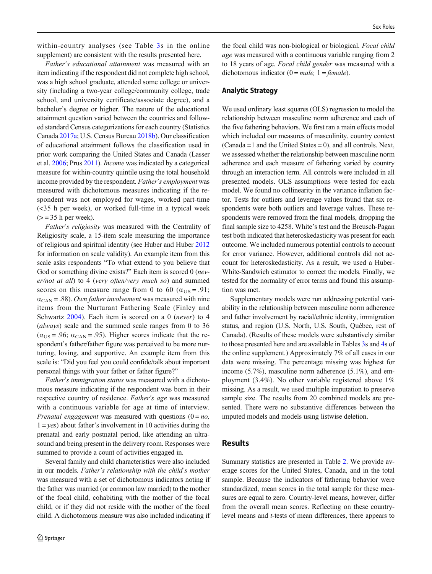within-country analyses (see Table 3s in the online supplement) are consistent with the results presented here.

Father's educational attainment was measured with an item indicating if the respondent did not complete high school, was a high school graduate, attended some college or university (including a two-year college/community college, trade school, and university certificate/associate degree), and a bachelor's degree or higher. The nature of the educational attainment question varied between the countries and followed standard Census categorizations for each country (Statistics Canada [2017a;](#page-15-0) U.S. Census Bureau [2018b](#page-15-0)). Our classification of educational attainment follows the classification used in prior work comparing the United States and Canada (Lasser et al. [2006](#page-14-0); Prus [2011](#page-15-0)). Income was indicated by a categorical measure for within-country quintile using the total household income provided by the respondent. Father's employment was measured with dichotomous measures indicating if the respondent was not employed for wages, worked part-time (<35 h per week), or worked full-time in a typical week  $(>= 35$  h per week).

Father's religiosity was measured with the Centrality of Religiosity scale, a 15-item scale measuring the importance of religious and spiritual identity (see Huber and Huber [2012](#page-14-0) for information on scale validity). An example item from this scale asks respondents "To what extend to you believe that God or something divine exists?" Each item is scored 0 (never/not at all) to 4 (very often/very much so) and summed scores on this measure range from 0 to 60 ( $\alpha_{\text{US}} = .91$ ;  $\alpha_{\text{CAN}}$  = .88). Own father involvement was measured with nine items from the Nurturant Fathering Scale (Finley and Schwartz [2004](#page-14-0)). Each item is scored on a 0 (never) to 4 (always) scale and the summed scale ranges from 0 to 36  $(\alpha_{\text{US}} = .96; \ \alpha_{\text{CAN}} = .95)$ . Higher scores indicate that the respondent's father/father figure was perceived to be more nurturing, loving, and supportive. An example item from this scale is: "Did you feel you could confide/talk about important personal things with your father or father figure?"

Father's immigration status was measured with a dichotomous measure indicating if the respondent was born in their respective country of residence. Father's age was measured with a continuous variable for age at time of interview. *Prenatal engagement* was measured with questions  $(0 = no,$  $1 = yes$ ) about father's involvement in 10 activities during the prenatal and early postnatal period, like attending an ultrasound and being present in the delivery room. Responses were summed to provide a count of activities engaged in.

Several family and child characteristics were also included in our models. Father's relationship with the child's mother was measured with a set of dichotomous indicators noting if the father was married (or common law married) to the mother of the focal child, cohabiting with the mother of the focal child, or if they did not reside with the mother of the focal child. A dichotomous measure was also included indicating if

the focal child was non-biological or biological. Focal child age was measured with a continuous variable ranging from 2 to 18 years of age. Focal child gender was measured with a dichotomous indicator  $(0 = male, 1 = female)$ .

#### Analytic Strategy

We used ordinary least squares (OLS) regression to model the relationship between masculine norm adherence and each of the five fathering behaviors. We first ran a main effects model which included our measures of masculinity, country context (Canada =1 and the United States = 0), and all controls. Next, we assessed whether the relationship between masculine norm adherence and each measure of fathering varied by country through an interaction term. All controls were included in all presented models. OLS assumptions were tested for each model. We found no collinearity in the variance inflation factor. Tests for outliers and leverage values found that six respondents were both outliers and leverage values. These respondents were removed from the final models, dropping the final sample size to 4258. White's test and the Breusch-Pagan test both indicated that heteroskedasticity was present for each outcome. We included numerous potential controls to account for error variance. However, additional controls did not account for heteroskedasticity. As a result, we used a Huber-White-Sandwich estimator to correct the models. Finally, we tested for the normality of error terms and found this assumption was met.

Supplementary models were run addressing potential variability in the relationship between masculine norm adherence and father involvement by racial/ethnic identity, immigration status, and region (U.S. North, U.S. South, Québec, rest of Canada). (Results of these models were substantively similar to those presented here and are available in Tables 3s and 4s of the online supplement.) Approximately 7% of all cases in our data were missing. The percentage missing was highest for income (5.7%), masculine norm adherence (5.1%), and employment (3.4%). No other variable registered above 1% missing. As a result, we used multiple imputation to preserve sample size. The results from 20 combined models are presented. There were no substantive differences between the imputed models and models using listwise deletion.

## Results

Summary statistics are presented in Table [2](#page-6-0). We provide average scores for the United States, Canada, and in the total sample. Because the indicators of fathering behavior were standardized, mean scores in the total sample for these measures are equal to zero. Country-level means, however, differ from the overall mean scores. Reflecting on these countrylevel means and t-tests of mean differences, there appears to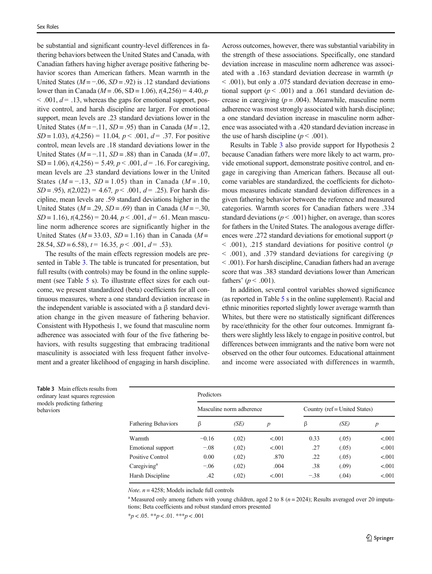be substantial and significant country-level differences in fathering behaviors between the United States and Canada, with Canadian fathers having higher average positive fathering behavior scores than American fathers. Mean warmth in the United States ( $M = −.06$ ,  $SD = .92$ ) is .12 standard deviations lower than in Canada ( $M = .06$ , SD = 1.06),  $t(4,256) = 4.40$ , p  $\leq$  .001,  $d = 0.13$ , whereas the gaps for emotional support, positive control, and harsh discipline are larger. For emotional support, mean levels are .23 standard deviations lower in the United States ( $M = −.11$ ,  $SD = .95$ ) than in Canada ( $M = .12$ ,  $SD = 1.03$ ,  $t(4,256) = 11.04$ ,  $p < .001$ ,  $d = .37$ . For positive control, mean levels are .18 standard deviations lower in the United States ( $M = −.11$ ,  $SD = .88$ ) than in Canada ( $M = .07$ , SD = 1.06),  $t(4,256) = 5.49$ ,  $p < .001$ ,  $d = .16$ . For caregiving, mean levels are .23 standard deviations lower in the United States  $(M = -13, SD = 1.05)$  than in Canada  $(M = .10,$  $SD = .95$ ),  $t(2,022) = 4.67$ ,  $p < .001$ ,  $d = .25$ ). For harsh discipline, mean levels are .59 standard deviations higher in the United States ( $M = .29$ ,  $SD = .69$ ) than in Canada ( $M = -.30$ ,  $SD = 1.16$ ,  $t(4,256) = 20.44$ ,  $p < .001$ ,  $d = .61$ . Mean masculine norm adherence scores are significantly higher in the United States ( $M = 33.03$ ,  $SD = 1.16$ ) than in Canada ( $M =$ 28.54,  $SD = 6.58$ ,  $t = 16.35$ ,  $p < .001$ ,  $d = .53$ ).

The results of the main effects regression models are presented in Table 3. The table is truncated for presentation, but full results (with controls) may be found in the online supplement (see Table 5 s). To illustrate effect sizes for each outcome, we present standardized (beta) coefficients for all continuous measures, where a one standard deviation increase in the independent variable is associated with a β standard deviation change in the given measure of fathering behavior. Consistent with Hypothesis 1, we found that masculine norm adherence was associated with four of the five fathering behaviors, with results suggesting that embracing traditional masculinity is associated with less frequent father involvement and a greater likelihood of engaging in harsh discipline. Across outcomes, however, there was substantial variability in the strength of these associations. Specifically, one standard deviation increase in masculine norm adherence was associated with a .163 standard deviation decrease in warmth (p < .001), but only a .075 standard deviation decrease in emotional support ( $p < .001$ ) and a .061 standard deviation decrease in caregiving  $(p = .004)$ . Meanwhile, masculine norm adherence was most strongly associated with harsh discipline; a one standard deviation increase in masculine norm adherence was associated with a .420 standard deviation increase in the use of harsh discipline ( $p < .001$ ).

Results in Table 3 also provide support for Hypothesis 2 because Canadian fathers were more likely to act warm, provide emotional support, demonstrate positive control, and engage in caregiving than American fathers. Because all outcome variables are standardized, the coefficients for dichotomous measures indicate standard deviation differences in a given fathering behavior between the reference and measured categories. Warmth scores for Canadian fathers were .334 standard deviations ( $p < .001$ ) higher, on average, than scores for fathers in the United States. The analogous average differences were .272 standard deviations for emotional support (p  $\leq$  .001), .215 standard deviations for positive control (p  $\leq$  .001), and .379 standard deviations for caregiving (p < .001). For harsh discipline, Canadian fathers had an average score that was .383 standard deviations lower than American fathers'  $(p < .001)$ .

In addition, several control variables showed significance (as reported in Table 5 s in the online supplement). Racial and ethnic minorities reported slightly lower average warmth than Whites, but there were no statistically significant differences by race/ethnicity for the other four outcomes. Immigrant fathers were slightly less likely to engage in positive control, but differences between immigrants and the native born were not observed on the other four outcomes. Educational attainment and income were associated with differences in warmth,

| <b>Fathering Behaviors</b> | Predictors |                          |                  |                               |       |                  |  |  |
|----------------------------|------------|--------------------------|------------------|-------------------------------|-------|------------------|--|--|
|                            |            | Masculine norm adherence |                  | Country (ref = United States) |       |                  |  |  |
|                            | β          | (SE)                     | $\boldsymbol{p}$ | β                             | (SE)  | $\boldsymbol{p}$ |  |  |
| Warmth                     | $-0.16$    | (.02)                    | < 0.001          | 0.33                          | (.05) | < 0.001          |  |  |
| Emotional support          | $-.08$     | (.02)                    | < 0.001          | .27                           | (.05) | < 0.001          |  |  |
| Positive Control           | 0.00       | (.02)                    | .870             | .22                           | (.05) | < 0.001          |  |  |
| Caregiving <sup>a</sup>    | $-.06$     | (.02)                    | .004             | .38                           | (.09) | < 0.001          |  |  |
| Harsh Discipline           | .42        | (.02)                    | < 0.001          | $-.38$                        | (.04) | < 0.01           |  |  |

Table 3 Main effects results from ordinary least squares regression models predicting fathering behaviors

Note.  $n = 4258$ ; Models include full controls

<sup>a</sup> Measured only among fathers with young children, aged 2 to 8 ( $n = 2024$ ); Results averaged over 20 imputations; Beta coefficients and robust standard errors presented

 $*_p$  < .05.  $*_p$  < .01.  $**_p$  < .001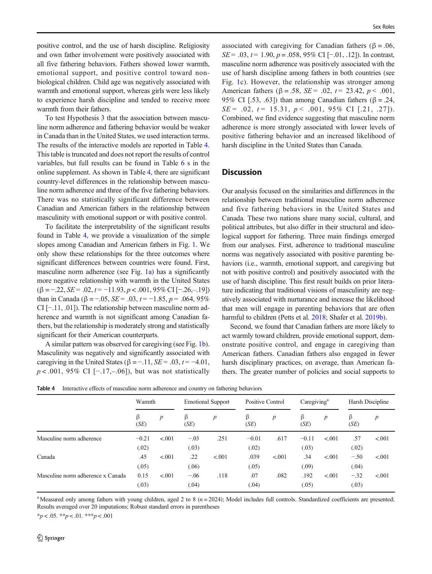positive control, and the use of harsh discipline. Religiosity and own father involvement were positively associated with all five fathering behaviors. Fathers showed lower warmth, emotional support, and positive control toward nonbiological children. Child age was negatively associated with warmth and emotional support, whereas girls were less likely to experience harsh discipline and tended to receive more warmth from their fathers.

To test Hypothesis 3 that the association between masculine norm adherence and fathering behavior would be weaker in Canada than in the United States, we used interaction terms. The results of the interactive models are reported in Table 4. This table is truncated and does not report the results of control variables, but full results can be found in Table 6 s in the online supplement. As shown in Table 4, there are significant country-level differences in the relationship between masculine norm adherence and three of the five fathering behaviors. There was no statistically significant difference between Canadian and American fathers in the relationship between masculinity with emotional support or with positive control.

To facilitate the interpretability of the significant results found in Table 4, we provide a visualization of the simple slopes among Canadian and American fathers in Fig. [1.](#page-11-0) We only show these relationships for the three outcomes where significant differences between countries were found. First, masculine norm adherence (see Fig. [1a](#page-11-0)) has a significantly more negative relationship with warmth in the United States  $(\beta = -0.22, SE = 0.02, t = -11.93, p < 0.001, 95\% \text{ CI} [-0.26, -0.19])$ than in Canada (β = -.05, *SE* = .03,  $t$  = -1.85,  $p$  = .064, 95% CI [−.11, .01]). The relationship between masculine norm adherence and warmth is not significant among Canadian fathers, but the relationship is moderately strong and statistically significant for their American counterparts.

A similar pattern was observed for caregiving (see Fig. [1b\)](#page-11-0). Masculinity was negatively and significantly associated with caregiving in the United States ( $\beta = -11$ ,  $SE = .03$ ,  $t = -4.01$ , p < .001, 95% CI [−.17,–.06]), but was not statistically

associated with caregiving for Canadian fathers ( $\beta = .06$ , SE = .03,  $t = 1.90$ ,  $p = .058$ , 95% CI [-.01, .12]). In contrast, masculine norm adherence was positively associated with the use of harsh discipline among fathers in both countries (see Fig. [1c](#page-11-0)). However, the relationship was stronger among American fathers ( $\beta$  = .58, *SE* = .02,  $t$  = 23.42,  $p$  < .001, 95% CI [.53, .63]) than among Canadian fathers ( $\beta = .24$ ,  $SE = .02$ ,  $t = 15.31$ ,  $p < .001$ , 95% CI [.21, .27]). Combined, we find evidence suggesting that masculine norm adherence is more strongly associated with lower levels of positive fathering behavior and an increased likelihood of harsh discipline in the United States than Canada.

#### **Discussion**

Our analysis focused on the similarities and differences in the relationship between traditional masculine norm adherence and five fathering behaviors in the United States and Canada. These two nations share many social, cultural, and political attributes, but also differ in their structural and ideological support for fathering. Three main findings emerged from our analyses. First, adherence to traditional masculine norms was negatively associated with positive parenting behaviors (i.e., warmth, emotional support, and caregiving but not with positive control) and positively associated with the use of harsh discipline. This first result builds on prior literature indicating that traditional visions of masculinity are negatively associated with nurturance and increase the likelihood that men will engage in parenting behaviors that are often harmful to children (Petts et al. [2018](#page-14-0); Shafer et al. [2019b](#page-15-0)).

Second, we found that Canadian fathers are more likely to act warmly toward children, provide emotional support, demonstrate positive control, and engage in caregiving than American fathers. Canadian fathers also engaged in fewer harsh disciplinary practices, on average, than American fathers. The greater number of policies and social supports to

|                                   | Warmth    |                | <b>Emotional Support</b> |                  | Positive Control |                  | Caregiving <sup>a</sup> |                  | Harsh Discipline |                  |
|-----------------------------------|-----------|----------------|--------------------------|------------------|------------------|------------------|-------------------------|------------------|------------------|------------------|
|                                   | ß<br>(SE) | $\overline{p}$ | β<br>(SE)                | $\boldsymbol{p}$ | β<br>(SE)        | $\boldsymbol{p}$ | β<br>(SE)               | $\boldsymbol{p}$ | β<br>(SE)        | $\boldsymbol{p}$ |
| Masculine norm adherence          | $-0.21$   | < 0.001        | $-.03$                   | .251             | $-0.01$          | .617             | $-0.11$                 | < 0.001          | .57              | < 0.01           |
|                                   | (.02)     |                | (.03)                    |                  | (.02)            |                  | (.03)                   |                  | (.02)            |                  |
| Canada                            | .45       | < 0.001        | .22                      | < 0.001          | .039             | < 0.001          | .34                     | < 0.001          | $-.50$           | < 0.01           |
|                                   | (.05)     |                | (.06)                    |                  | (.05)            |                  | (.09)                   |                  | (.04)            |                  |
| Masculine norm adherence x Canada | 0.15      | < 0.001        | $-.06$                   | .118             | .07              | .082             | .192                    | < 0.001          | $-.32$           | < 0.001          |
|                                   | (.03)     |                | (.04)                    |                  | (.04)            |                  | (.05)                   |                  | (.03)            |                  |

Table 4 Interactive effects of masculine norm adherence and country on fathering behaviors

<sup>a</sup> Measured only among fathers with young children, aged 2 to 8 ( $n = 2024$ ); Model includes full controls. Standardized coefficients are presented; Results averaged over 20 imputations; Robust standard errors in parentheses

 $*_{p} < .05.$   $*_{p} < .01.$   $*_{p} < .001$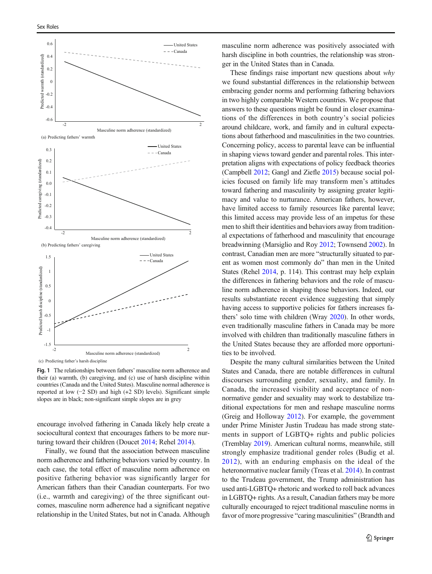<span id="page-11-0"></span>

(c) Predicting father's harsh discipline

Fig. 1 The relationships between fathers' masculine norm adherence and their (a) warmth, (b) caregiving, and (c) use of harsh discipline within countries (Canada and the United States). Masculine normal adherence is reported at low (−2 SD) and high (+2 SD) levels). Significant simple slopes are in black; non-significant simple slopes are in grey

encourage involved fathering in Canada likely help create a sociocultural context that encourages fathers to be more nurturing toward their children (Doucet [2014](#page-13-0); Rehel [2014](#page-15-0)).

Finally, we found that the association between masculine norm adherence and fathering behaviors varied by country. In each case, the total effect of masculine norm adherence on positive fathering behavior was significantly larger for American fathers than their Canadian counterparts. For two (i.e., warmth and caregiving) of the three significant outcomes, masculine norm adherence had a significant negative relationship in the United States, but not in Canada. Although

masculine norm adherence was positively associated with harsh discipline in both countries, the relationship was stronger in the United States than in Canada.

These findings raise important new questions about why we found substantial differences in the relationship between embracing gender norms and performing fathering behaviors in two highly comparable Western countries. We propose that answers to these questions might be found in closer examinations of the differences in both country's social policies around childcare, work, and family and in cultural expectations about fatherhood and masculinities in the two countries. Concerning policy, access to parental leave can be influential in shaping views toward gender and parental roles. This interpretation aligns with expectations of policy feedback theories (Campbell [2012](#page-13-0); Gangl and Ziefle [2015\)](#page-14-0) because social policies focused on family life may transform men's attitudes toward fathering and masculinity by assigning greater legitimacy and value to nurturance. American fathers, however, have limited access to family resources like parental leave; this limited access may provide less of an impetus for these men to shift their identities and behaviors away from traditional expectations of fatherhood and masculinity that encourage breadwinning (Marsiglio and Roy [2012](#page-14-0); Townsend [2002](#page-15-0)). In contrast, Canadian men are more "structurally situated to parent as women most commonly do" than men in the United States (Rehel [2014](#page-15-0), p. 114). This contrast may help explain the differences in fathering behaviors and the role of masculine norm adherence in shaping those behaviors. Indeed, our results substantiate recent evidence suggesting that simply having access to supportive policies for fathers increases fathers' solo time with children (Wray [2020\)](#page-15-0). In other words, even traditionally masculine fathers in Canada may be more involved with children than traditionally masculine fathers in the United States because they are afforded more opportunities to be involved.

Despite the many cultural similarities between the United States and Canada, there are notable differences in cultural discourses surrounding gender, sexuality, and family. In Canada, the increased visibility and acceptance of nonnormative gender and sexuality may work to destabilize traditional expectations for men and reshape masculine norms (Greig and Holloway [2012\)](#page-14-0). For example, the government under Prime Minister Justin Trudeau has made strong statements in support of LGBTQ+ rights and public policies (Tremblay [2019\)](#page-15-0). American cultural norms, meanwhile, still strongly emphasize traditional gender roles (Budig et al. [2012\)](#page-13-0), with an enduring emphasis on the ideal of the heteronormative nuclear family (Treas et al. [2014\)](#page-15-0). In contrast to the Trudeau government, the Trump administration has used anti-LGBTQ+ rhetoric and worked to roll back advances in LGBTQ+ rights. As a result, Canadian fathers may be more culturally encouraged to reject traditional masculine norms in favor of more progressive "caring masculinities" (Brandth and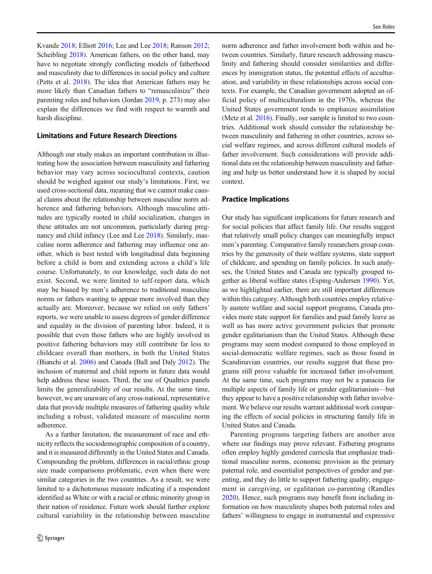Kvande [2018](#page-13-0); Elliott [2016;](#page-14-0) Lee and Lee [2018;](#page-14-0) Ranson [2012](#page-15-0); Scheibling [2018](#page-15-0)). American fathers, on the other hand, may have to negotiate strongly conflicting models of fatherhood and masculinity due to differences in social policy and culture (Petts et al. [2018](#page-14-0)). The idea that American fathers may be more likely than Canadian fathers to "remasculinize" their parenting roles and behaviors (Jordan [2019](#page-14-0), p. 273) may also explain the differences we find with respect to warmth and harsh discipline.

#### Limitations and Future Research Directions

Although our study makes an important contribution in illustrating how the association between masculinity and fathering behavior may vary across sociocultural contexts, caution should be weighed against our study's limitations. First, we used cross-sectional data, meaning that we cannot make causal claims about the relationship between masculine norm adherence and fathering behaviors. Although masculine attitudes are typically rooted in child socialization, changes in these attitudes are not uncommon, particularly during pregnancy and child infancy (Lee and Lee [2018](#page-14-0)). Similarly, masculine norm adherence and fathering may influence one another, which is best tested with longitudinal data beginning before a child is born and extending across a child's life course. Unfortunately, to our knowledge, such data do not exist. Second, we were limited to self-report data, which may be biased by men's adherence to traditional masculine norms or fathers wanting to appear more involved than they actually are. Moreover, because we relied on only fathers' reports, we were unable to assess degrees of gender difference and equality in the division of parenting labor. Indeed, it is possible that even those fathers who are highly involved in positive fathering behaviors may still contribute far less to childcare overall than mothers, in both the United States (Bianchi et al. [2006](#page-13-0)) and Canada (Ball and Daly [2012](#page-13-0)). The inclusion of maternal and child reports in future data would help address these issues. Third, the use of Qualtrics panels limits the generalizability of our results. At the same time, however, we are unaware of any cross-national, representative data that provide multiple measures of fathering quality while including a robust, validated measure of masculine norm adherence.

As a further limitation, the measurement of race and ethnicity reflects the sociodemographic composition of a country, and it is measured differently in the United States and Canada. Compounding the problem, differences in racial/ethnic group size made comparisons problematic, even when there were similar categories in the two countries. As a result, we were limited to a dichotomous measure indicating if a respondent identified as White or with a racial or ethnic minority group in their nation of residence. Future work should further explore cultural variability in the relationship between masculine

norm adherence and father involvement both within and between countries. Similarly, future research addressing masculinity and fathering should consider similarities and differences by immigration status, the potential effects of acculturation, and variability in these relationships across social contexts. For example, the Canadian government adopted an official policy of multiculturalism in the 1970s, whereas the United States government tends to emphasize assimilation (Metz et al. [2016\)](#page-14-0). Finally, our sample is limited to two countries. Additional work should consider the relationship between masculinity and fathering in other countries, across social welfare regimes, and across different cultural models of father involvement. Such considerations will provide additional data on the relationship between masculinity and fathering and help us better understand how it is shaped by social context.

#### Practice Implications

Our study has significant implications for future research and for social policies that affect family life. Our results suggest that relatively small policy changes can meaningfully impact men's parenting. Comparative family researchers group countries by the generosity of their welfare systems, state support of childcare, and spending on family policies. In such analyses, the United States and Canada are typically grouped together as liberal welfare states (Esping-Andersen [1990](#page-14-0)). Yet, as we highlighted earlier, there are still important differences within this category. Although both countries employ relatively austere welfare and social support programs, Canada provides more state support for families and paid family leave as well as has more active government policies that promote gender egalitarianism than the United States. Although these programs may seem modest compared to those employed in social-democratic welfare regimes, such as those found in Scandinavian countries, our results suggest that these programs still prove valuable for increased father involvement. At the same time, such programs may not be a panacea for multiple aspects of family life or gender egalitarianism—but they appear to have a positive relationship with father involvement. We believe our results warrant additional work comparing the effects of social policies in structuring family life in United States and Canada.

Parenting programs targeting fathers are another area where our findings may prove relevant. Fathering programs often employ highly gendered curricula that emphasize traditional masculine norms, economic provision as the primary paternal role, and essentialist perspectives of gender and parenting, and they do little to support fathering quality, engagement in caregiving, or egalitarian co-parenting (Randles [2020\)](#page-15-0). Hence, such programs may benefit from including information on how masculinity shapes both paternal roles and fathers' willingness to engage in instrumental and expressive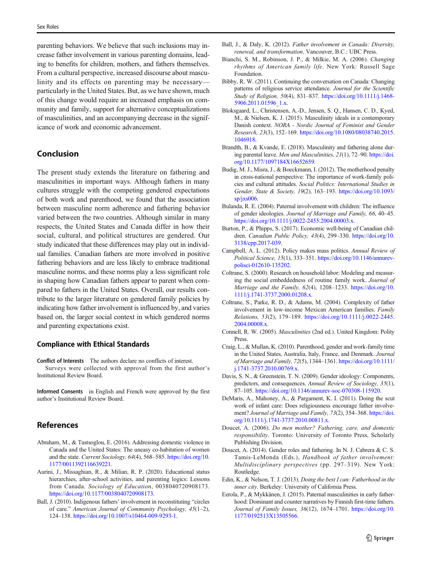<span id="page-13-0"></span>parenting behaviors. We believe that such inclusions may increase father involvement in various parenting domains, leading to benefits for children, mothers, and fathers themselves. From a cultural perspective, increased discourse about masculinity and its effects on parenting may be necessary particularly in the United States. But, as we have shown, much of this change would require an increased emphasis on community and family, support for alternative conceptualizations of masculinities, and an accompanying decrease in the significance of work and economic advancement.

# Conclusion

The present study extends the literature on fathering and masculinities in important ways. Although fathers in many cultures struggle with the competing gendered expectations of both work and parenthood, we found that the association between masculine norm adherence and fathering behavior varied between the two countries. Although similar in many respects, the United States and Canada differ in how their social, cultural, and political structures are gendered. Our study indicated that these differences may play out in individual families. Canadian fathers are more involved in positive fathering behaviors and are less likely to embrace traditional masculine norms, and these norms play a less significant role in shaping how Canadian fathers appear to parent when compared to fathers in the United States. Overall, our results contribute to the larger literature on gendered family policies by indicating how father involvement is influenced by, and varies based on, the larger social context in which gendered norms and parenting expectations exist.

#### Compliance with Ethical Standards

Conflict of Interests The authors declare no conflicts of interest. Surveys were collected with approval from the first author's Institutional Review Board.

Informed Consents in English and French were approved by the first author's Institutional Review Board.

#### References

- Abraham, M., & Tastsoglou, E. (2016). Addressing domestic violence in Canada and the United States: The uneasy co-habitation of women and the state. Current Sociology, 64(4), 568–585. [https://doi.org/10.](https://doi.org/10.1177/0011392116639221) [1177/0011392116639221.](https://doi.org/10.1177/0011392116639221)
- Aurini, J., Missaghian, R., & Milian, R. P. (2020). Educational status hierarchies, after-school activities, and parenting logics: Lessons from Canada. Sociology of Education, 0038040720908173. <https://doi.org/10.1177/0038040720908173>.
- Ball, J. (2010). Indigenous fathers' involvement in reconstituting "circles of care." American Journal of Community Psychology, 45(1–2), 124–138. <https://doi.org/10.1007/s10464-009-9293-1>.
- Ball, J., & Daly, K. (2012). Father involvement in Canada: Diversity, renewal, and transformation. Vancouver, B.C.: UBC Press.
- Bianchi, S. M., Robinson, J. P., & Milkie, M. A. (2006). Changing rhythms of American family life. New York: Russell Sage Foundation.
- Bibby, R. W. (2011). Continuing the conversation on Canada: Changing patterns of religious service attendance. Journal for the Scientific Study of Religion, 50(4), 831–837. [https://doi.org/10.1111/j.1468-](https://doi.org/10.1111/j.1468-5906.2011.01596_1.x) [5906.2011.01596\\_1.x](https://doi.org/10.1111/j.1468-5906.2011.01596_1.x).
- Bloksgaard, L., Christensen, A.-D., Jensen, S. Q., Hansen, C. D., Kyed, M., & Nielsen, K. J. (2015). Masculinity ideals in a contemporary Danish context. NORA - Nordic Journal of Feminist and Gender Research, 23(3), 152–169. [https://doi.org/10.1080/08038740.2015.](https://doi.org/10.1080/08038740.2015.1046918) [1046918](https://doi.org/10.1080/08038740.2015.1046918).
- Brandth, B., & Kvande, E. (2018). Masculinity and fathering alone during parental leave. Men and Masculinities, 21(1), 72-90. [https://doi.](https://doi.org/10.1177/1097184X16652659) [org/10.1177/1097184X16652659](https://doi.org/10.1177/1097184X16652659).
- Budig, M. J., Misra, J., & Boeckmann, I. (2012). The motherhood penalty in cross-national perspective: The importance of work-family policies and cultural attitudes. Social Politics: International Studies in Gender, State & Society, 19(2), 163–193. [https://doi.org/10.1093/](https://doi.org/10.1093/sp/jxs006) [sp/jxs006.](https://doi.org/10.1093/sp/jxs006)
- Bulanda, R. E. (2004). Paternal involvement with children: The influence of gender ideologies. Journal of Marriage and Family, 66, 40–45. <https://doi.org/10.1111/j.0022-2455.2004.00003.x>.
- Burton, P., & Phipps, S. (2017). Economic well-being of Canadian children. Canadian Public Policy, 43(4), 299-330. [https://doi.org/10.](https://doi.org/10.3138/cpp.2017-039) [3138/cpp.2017-039](https://doi.org/10.3138/cpp.2017-039).
- Campbell, A. L. (2012). Policy makes mass politics. Annual Review of Political Science, 15(1), 333–351. [https://doi.org/10.1146/annurev](https://doi.org/10.1146/annurev-polisci-012610-135202)[polisci-012610-135202.](https://doi.org/10.1146/annurev-polisci-012610-135202)
- Coltrane, S. (2000). Research on household labor: Modeling and measuring the social embeddedness of routine family work. Journal of Marriage and the Family, 62(4), 1208-1233. [https://doi.org/10.](https://doi.org/10.1111/j.1741-3737.2000.01208.x) [1111/j.1741-3737.2000.01208.x](https://doi.org/10.1111/j.1741-3737.2000.01208.x).
- Coltrane, S., Parke, R. D., & Adams, M. (2004). Complexity of father involvement in low-income Mexican American families. Family Relations, 53(2), 179–189. [https://doi.org/10.1111/j.0022-2445.](https://doi.org/10.1111/j.0022-2445.2004.00008.x) [2004.00008.x](https://doi.org/10.1111/j.0022-2445.2004.00008.x).
- Connell, R. W. (2005). Masculinities (2nd ed.). United Kingdom: Polity Press.
- Craig, L., & Mullan, K. (2010). Parenthood, gender and work-family time in the United States, Australia, Italy, France, and Denmark. Journal of Marriage and Family, 72(5), 1344–1361. [https://doi.org/10.1111/](https://doi.org/10.1111/j.1741-3737.2010.00769.x) [j.1741-3737.2010.00769.x](https://doi.org/10.1111/j.1741-3737.2010.00769.x).
- Davis, S. N., & Greenstein, T. N. (2009). Gender ideology: Components, predictors, and consequences. Annual Review of Sociology, 35(1), 87–105. <https://doi.org/10.1146/annurev-soc-070308-115920>.
- DeMaris, A., Mahoney, A., & Pargament, K. I. (2011). Doing the scut work of infant care: Does religiousness encourage father involvement? Journal of Marriage and Family, 73(2), 354–368. [https://doi.](https://doi.org/10.1111/j.1741-3737.2010.00811.x) [org/10.1111/j.1741-3737.2010.00811.x.](https://doi.org/10.1111/j.1741-3737.2010.00811.x)
- Doucet, A. (2006). Do men mother? Fathering, care, and domestic responsibility. Toronto: University of Toronto Press, Scholarly Publishing Division.
- Doucet, A. (2014). Gender roles and fathering. In N. J. Cabrera & C. S. Tamis-LeMonda (Eds.), Handbook of father involvement: Multidisciplinary perspectives (pp. 297–319). New York: Routledge.
- Edin, K., & Nelson, T. J. (2013). Doing the best I can: Fatherhood in the inner city. Berkeley: University of California Press.
- Eerola, P., & Mykkänen, J. (2015). Paternal masculinities in early fatherhood: Dominant and counter narratives by Finnish first-time fathers. Journal of Family Issues, 36(12), 1674–1701. [https://doi.org/10.](https://doi.org/10.1177/0192513X13505566) [1177/0192513X13505566.](https://doi.org/10.1177/0192513X13505566)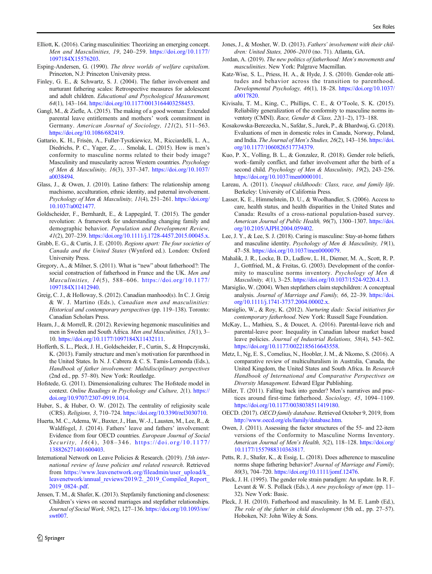- <span id="page-14-0"></span>Elliott, K. (2016). Caring masculinities: Theorizing an emerging concept. Men and Masculinities, 19, 240–259. [https://doi.org/10.1177/](https://doi.org/10.1177/1097184X15576203) [1097184X15576203](https://doi.org/10.1177/1097184X15576203).
- Esping-Andersen, G. (1990). The three worlds of welfare capitalism. Princeton, N.J: Princeton University press.
- Finley, G. E., & Schwartz, S. J. (2004). The father involvement and nurturant fathering scales: Retrospective measures for adolescent and adult children. Educational and Psychological Measurement, 64(1), 143–164. <https://doi.org/10.1177/0013164403258453>.
- Gangl, M., & Ziefle, A. (2015). The making of a good woman: Extended parental leave entitlements and mothers' work commitment in Germany. American Journal of Sociology, 121(2), 511–563. [https://doi.org/10.1086/682419.](https://doi.org/10.1086/682419)
- Gattario, K. H., Frisén, A., Fuller-Tyszkiewicz, M., Ricciardelli, L. A., Diedrichs, P. C., Yager, Z., … Smolak, L. (2015). How is men's conformity to masculine norms related to their body image? Masculinity and muscularity across Western countries. Psychology of Men & Masculinity, 16(3), 337–347. [https://doi.org/10.1037/](https://doi.org/10.1037/a0038494) [a0038494.](https://doi.org/10.1037/a0038494)
- Glass, J., & Owen, J. (2010). Latino fathers: The relationship among machismo, acculturation, ethnic identity, and paternal involvement. Psychology of Men & Masculinity, 11(4), 251–261. [https://doi.org/](https://doi.org/10.1037/a0021477) [10.1037/a0021477.](https://doi.org/10.1037/a0021477)
- Goldscheider, F., Bernhardt, E., & Lappegård, T. (2015). The gender revolution: A framework for understanding changing family and demographic behavior. Population and Development Review, 41(2), 207–239. <https://doi.org/10.1111/j.1728-4457.2015.00045.x>.
- Grabb, E. G., & Curtis, J. E. (2010). Regions apart: The four societies of Canada and the United States (Wynford ed.). London: Oxford University Press.
- Gregory, A., & Milner, S. (2011). What is "new" about fatherhood?: The social construction of fatherhood in France and the UK. Men and Masculinities, 14(5), 588–606. [https://doi.org/10.1177/](https://doi.org/10.1177/1097184X11412940) [1097184X11412940](https://doi.org/10.1177/1097184X11412940).
- Greig, C. J., & Holloway, S. (2012). Canadian manhood(s). In C. J. Greig & W. J. Martino (Eds.), Canadian men and masculinities: Historical and contemporary perspectives (pp. 119–138). Toronto: Canadian Scholars Press.
- Hearn, J., & Morrell, R. (2012). Reviewing hegemonic masculinities and men in Sweden and South Africa. Men and Masculinities, 15(1), 3– 10. [https://doi.org/10.1177/1097184X11432111.](https://doi.org/10.1177/1097184X11432111)
- Hofferth, S. L., Pleck, J. H., Goldscheider, F., Curtin, S., & Hrapczynski, K. (2013). Family structure and men's motivation for parenthood in the United States. In N. J. Cabrera & C. S. Tamis-Lemonda (Eds.), Handbook of father involvement: Multidisciplinary perspectives (2nd ed., pp. 57–80). New York: Routledge.
- Hofstede, G. (2011). Dimensionalizing cultures: The Hofstede model in context. Online Readings in Psychology and Culture, 2(1). [https://](https://doi.org/10.9707/2307-0919.1014) [doi.org/10.9707/2307-0919.1014.](https://doi.org/10.9707/2307-0919.1014)
- Huber, S., & Huber, O. W. (2012). The centrality of religiosity scale (CRS). Religions, 3, 710–724. <https://doi.org/10.3390/rel3030710>.
- Huerta, M. C., Adema, W., Baxter, J., Han, W.-J., Lausten, M., Lee, R., & Waldfogel, J. (2014). Fathers' leave and fathers' involvement: Evidence from four OECD countries. European Journal of Social Security, 16(4), 308–346. [https://doi.org/10.1177/](https://doi.org/10.1177/138826271401600403) [138826271401600403](https://doi.org/10.1177/138826271401600403).
- International Network on Leave Policies & Research. (2019). 15th international review of leave policies and related research. Retrieved from [https://www.leavenetwork.org/fileadmin/user\\_upload/k\\_](https://www.leavenetwork.org/fileadmin/user_upload/k_leavenetwork/annual_reviews/2019/2._2019_Compiled_Report_2019_0824pdf) [leavenetwork/annual\\_reviews/2019/2.\\_2019\\_Compiled\\_Report\\_](https://www.leavenetwork.org/fileadmin/user_upload/k_leavenetwork/annual_reviews/2019/2._2019_Compiled_Report_2019_0824pdf) [2019\\_0824-.pdf.](https://www.leavenetwork.org/fileadmin/user_upload/k_leavenetwork/annual_reviews/2019/2._2019_Compiled_Report_2019_0824pdf)
- Jensen, T. M., & Shafer, K. (2013). Stepfamily functioning and closeness: Children's views on second marriages and stepfather relationships. Journal of Social Work, 58(2), 127–136. [https://doi.org/10.1093/sw/](https://doi.org/10.1093/sw/swt007) [swt007.](https://doi.org/10.1093/sw/swt007)
- Jones, J., & Mosher, W. D. (2013). Fathers' involvement with their children: United States, 2006–2010 (no. 71). Atlanta, GA.
- Jordan, A. (2019). The new politics of fatherhood: Men's movements and masculinities. New York: Palgrave Macmillan.
- Katz-Wise, S. L., Priess, H. A., & Hyde, J. S. (2010). Gender-role attitudes and behavior across the transition to parenthood. Developmental Psychology, 46(1), 18–28. [https://doi.org/10.1037/](https://doi.org/10.1037/a0017820) [a0017820.](https://doi.org/10.1037/a0017820)
- Kivisalu, T. M., King, C., Phillips, C. E., & O'Toole, S. K. (2015). Reliability generalization of the conformity to masculine norms inventory (CMNI). Race, Gender & Class, 22(1-2), 173-188.
- Kosakowska-Berezecka, N., Safdar, S., Jurek, P., & Bhardwaj, G. (2018). Evaluations of men in domestic roles in Canada, Norway, Poland, and India. The Journal of Men's Studies, 26(2), 143–156. [https://doi.](https://doi.org/10.1177/1060826517734379) [org/10.1177/1060826517734379](https://doi.org/10.1177/1060826517734379).
- Kuo, P. X., Volling, B. L., & Gonzalez, R. (2018). Gender role beliefs, work–family conflict, and father involvement after the birth of a second child. Psychology of Men & Masculinity, 19(2), 243-256. <https://doi.org/10.1037/men0000101>.
- Lareau, A. (2011). Unequal childhoods: Class, race, and family life. Berkeley: University of California Press.
- Lasser, K. E., Himmelstein, D. U., & Woolhandler, S. (2006). Access to care, health status, and health disparities in the United States and Canada: Results of a cross-national population-based survey. American Journal of Public Health, 96(7), 1300–1307. [https://doi.](https://doi.org/10.2105/AJPH.2004.059402) [org/10.2105/AJPH.2004.059402](https://doi.org/10.2105/AJPH.2004.059402).
- Lee, J. Y., & Lee, S. J. (2018). Caring is masculine: Stay-at-home fathers and masculine identity. Psychology of Men & Masculinity, 19(1), 47–58. <https://doi.org/10.1037/men0000079>.
- Mahalik, J. R., Locke, B. D., Ludlow, L. H., Diemer, M. A., Scott, R. P. J., Gottfried, M., & Freitas, G. (2003). Development of the conformity to masculine norms inventory. Psychology of Men & Masculinity, 4(1), 3–25. [https://doi.org/10.1037/1524-9220.4.1.3.](https://doi.org/10.1037/1524-9220.4.1.3)
- Marsiglio, W. (2004). When stepfathers claim stepchildren: A conceptual analysis. Journal of Marriage and Family, 66, 22–39. [https://doi.](https://doi.org/10.1111/j.1741-3737.2004.00002.x) [org/10.1111/j.1741-3737.2004.00002.x.](https://doi.org/10.1111/j.1741-3737.2004.00002.x)
- Marsiglio, W., & Roy, K. (2012). Nurturing dads: Social initiatives for contemporary fatherhood. New York: Russell Sage Foundation.
- McKay, L., Mathieu, S., & Doucet, A. (2016). Parental-leave rich and parental-leave poor: Inequality in Canadian labour market based leave policies. Journal of Industrial Relations, 58(4), 543–562. <https://doi.org/10.1177/0022185616643558>.
- Metz, I., Ng, E. S., Cornelius, N., Hoobler, J. M., & Nkomo, S. (2016). A comparative review of multiculturalism in Australia, Canada, the United Kingdom, the United States and South Africa. In Research Handbook of International and Comparative Perspectives on Diversity Management. Edward Elgar Publishing.
- Miller, T. (2011). Falling back into gender? Men's narratives and practices around first-time fatherhood. Sociology, 45, 1094–1109. <https://doi.org/10.1177/0038038511419180>.
- OECD. (2017). OECD family database. Retrieved October 9, 2019, from <http://www.oecd.org/els/family/database.htm>.
- Owen, J. (2011). Assessing the factor structures of the 55- and 22-item versions of the Conformity to Masculine Norms Inventory. American Journal of Men's Health, 5(2), 118–128. [https://doi.org/](https://doi.org/10.1177/1557988310363817) [10.1177/1557988310363817](https://doi.org/10.1177/1557988310363817).
- Petts, R. J., Shafer, K., & Essig, L. (2018). Does adherence to masculine norms shape fathering behavior? Journal of Marriage and Family, 80(3), 704–720. <https://doi.org/10.1111/jomf.12476>.
- Pleck, J. H. (1995). The gender role strain paradigm: An update. In R. F. Levant & W. S. Pollack (Eds.), A new psychology of men (pp. 11– 32). New York: Basic.
- Pleck, J. H. (2010). Fatherhood and masculinity. In M. E. Lamb (Ed.), The role of the father in child development (5th ed., pp. 27–57). Hoboken, NJ: John Wiley & Sons.